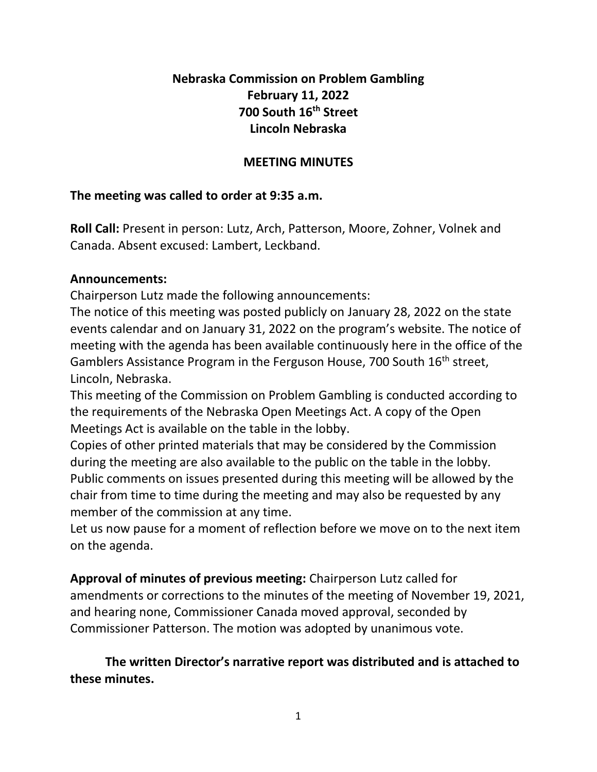# **Nebraska Commission on Problem Gambling February 11, 2022 700 South 16th Street Lincoln Nebraska**

# **MEETING MINUTES**

# **The meeting was called to order at 9:35 a.m.**

**Roll Call:** Present in person: Lutz, Arch, Patterson, Moore, Zohner, Volnek and Canada. Absent excused: Lambert, Leckband.

# **Announcements:**

Chairperson Lutz made the following announcements:

The notice of this meeting was posted publicly on January 28, 2022 on the state events calendar and on January 31, 2022 on the program's website. The notice of meeting with the agenda has been available continuously here in the office of the Gamblers Assistance Program in the Ferguson House, 700 South 16<sup>th</sup> street, Lincoln, Nebraska.

This meeting of the Commission on Problem Gambling is conducted according to the requirements of the Nebraska Open Meetings Act. A copy of the Open Meetings Act is available on the table in the lobby.

Copies of other printed materials that may be considered by the Commission during the meeting are also available to the public on the table in the lobby. Public comments on issues presented during this meeting will be allowed by the chair from time to time during the meeting and may also be requested by any member of the commission at any time.

Let us now pause for a moment of reflection before we move on to the next item on the agenda.

**Approval of minutes of previous meeting:** Chairperson Lutz called for amendments or corrections to the minutes of the meeting of November 19, 2021, and hearing none, Commissioner Canada moved approval, seconded by Commissioner Patterson. The motion was adopted by unanimous vote.

**The written Director's narrative report was distributed and is attached to these minutes.**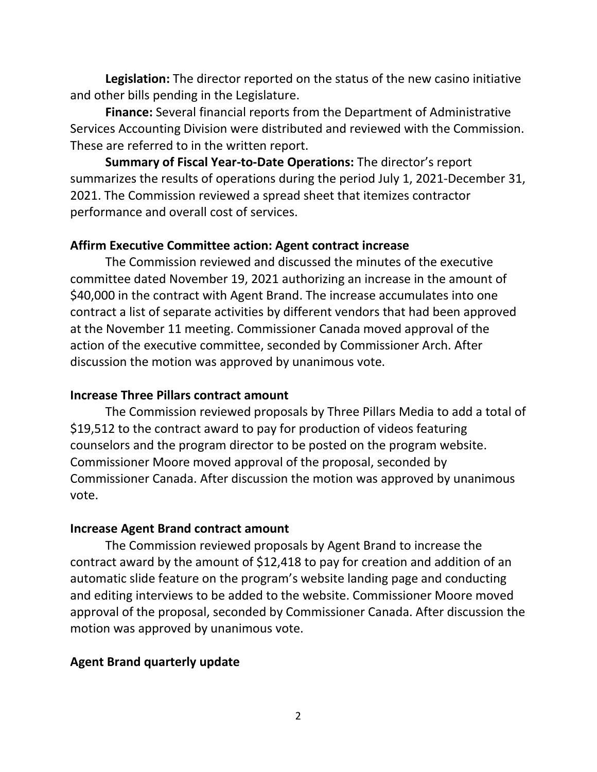**Legislation:** The director reported on the status of the new casino initiative and other bills pending in the Legislature.

**Finance:** Several financial reports from the Department of Administrative Services Accounting Division were distributed and reviewed with the Commission. These are referred to in the written report.

**Summary of Fiscal Year-to-Date Operations:** The director's report summarizes the results of operations during the period July 1, 2021-December 31, 2021. The Commission reviewed a spread sheet that itemizes contractor performance and overall cost of services.

# **Affirm Executive Committee action: Agent contract increase**

The Commission reviewed and discussed the minutes of the executive committee dated November 19, 2021 authorizing an increase in the amount of \$40,000 in the contract with Agent Brand. The increase accumulates into one contract a list of separate activities by different vendors that had been approved at the November 11 meeting. Commissioner Canada moved approval of the action of the executive committee, seconded by Commissioner Arch. After discussion the motion was approved by unanimous vote.

## **Increase Three Pillars contract amount**

The Commission reviewed proposals by Three Pillars Media to add a total of \$19,512 to the contract award to pay for production of videos featuring counselors and the program director to be posted on the program website. Commissioner Moore moved approval of the proposal, seconded by Commissioner Canada. After discussion the motion was approved by unanimous vote.

## **Increase Agent Brand contract amount**

The Commission reviewed proposals by Agent Brand to increase the contract award by the amount of \$12,418 to pay for creation and addition of an automatic slide feature on the program's website landing page and conducting and editing interviews to be added to the website. Commissioner Moore moved approval of the proposal, seconded by Commissioner Canada. After discussion the motion was approved by unanimous vote.

# **Agent Brand quarterly update**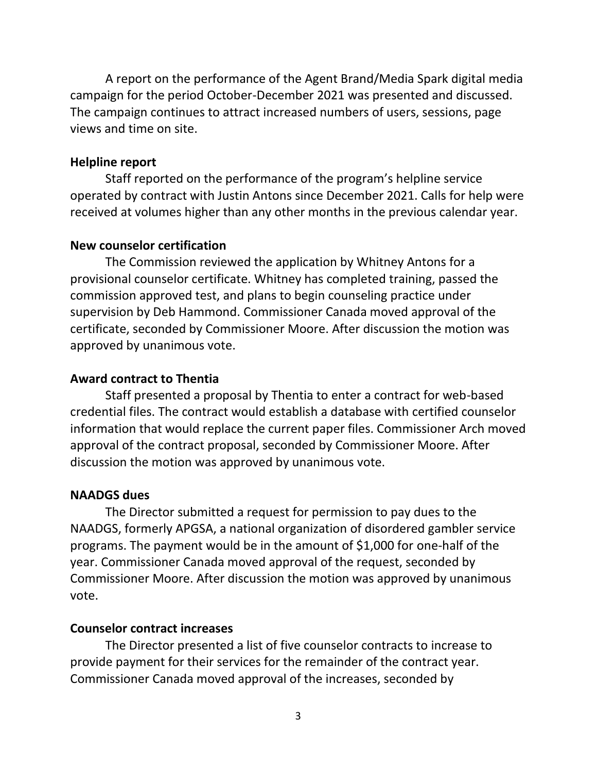A report on the performance of the Agent Brand/Media Spark digital media campaign for the period October-December 2021 was presented and discussed. The campaign continues to attract increased numbers of users, sessions, page views and time on site.

### **Helpline report**

Staff reported on the performance of the program's helpline service operated by contract with Justin Antons since December 2021. Calls for help were received at volumes higher than any other months in the previous calendar year.

#### **New counselor certification**

The Commission reviewed the application by Whitney Antons for a provisional counselor certificate. Whitney has completed training, passed the commission approved test, and plans to begin counseling practice under supervision by Deb Hammond. Commissioner Canada moved approval of the certificate, seconded by Commissioner Moore. After discussion the motion was approved by unanimous vote.

#### **Award contract to Thentia**

Staff presented a proposal by Thentia to enter a contract for web-based credential files. The contract would establish a database with certified counselor information that would replace the current paper files. Commissioner Arch moved approval of the contract proposal, seconded by Commissioner Moore. After discussion the motion was approved by unanimous vote.

#### **NAADGS dues**

The Director submitted a request for permission to pay dues to the NAADGS, formerly APGSA, a national organization of disordered gambler service programs. The payment would be in the amount of \$1,000 for one-half of the year. Commissioner Canada moved approval of the request, seconded by Commissioner Moore. After discussion the motion was approved by unanimous vote.

#### **Counselor contract increases**

The Director presented a list of five counselor contracts to increase to provide payment for their services for the remainder of the contract year. Commissioner Canada moved approval of the increases, seconded by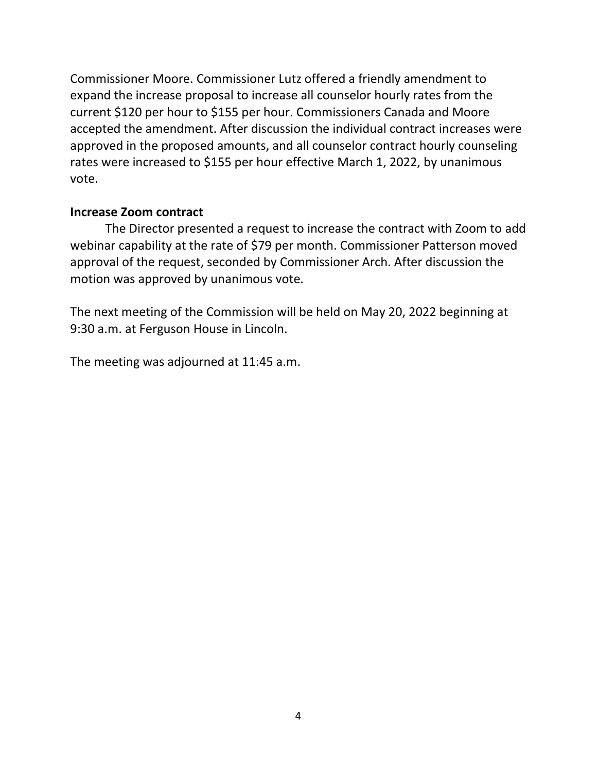Commissioner Moore. Commissioner Lutz offered a friendly amendment to expand the increase proposal to increase all counselor hourly rates from the current \$120 per hour to \$155 per hour. Commissioners Canada and Moore accepted the amendment. After discussion the individual contract increases were approved in the proposed amounts, and all counselor contract hourly counseling rates were increased to \$155 per hour effective March 1, 2022, by unanimous vote.

# **Increase Zoom contract**

The Director presented a request to increase the contract with Zoom to add webinar capability at the rate of \$79 per month. Commissioner Patterson moved approval of the request, seconded by Commissioner Arch. After discussion the motion was approved by unanimous vote.

The next meeting of the Commission will be held on May 20, 2022 beginning at 9:30 a.m. at Ferguson House in Lincoln.

The meeting was adjourned at 11:45 a.m.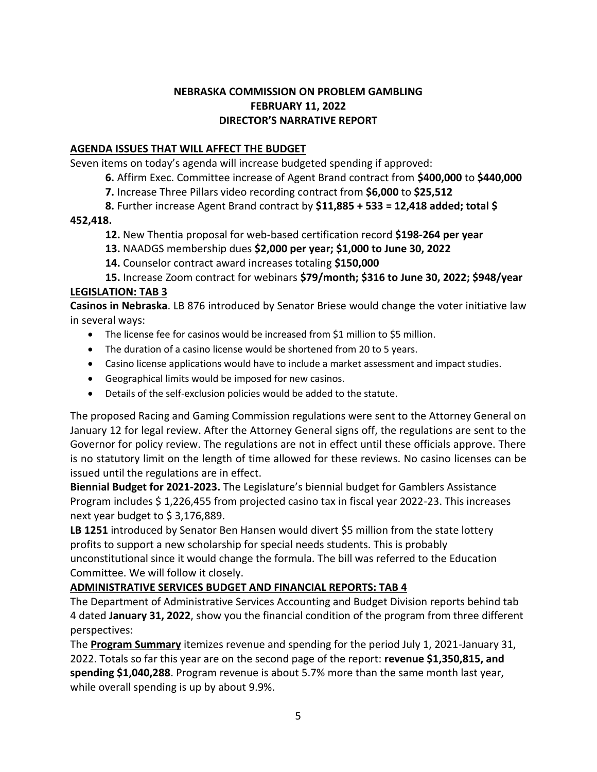## **NEBRASKA COMMISSION ON PROBLEM GAMBLING FEBRUARY 11, 2022 DIRECTOR'S NARRATIVE REPORT**

## **AGENDA ISSUES THAT WILL AFFECT THE BUDGET**

Seven items on today's agenda will increase budgeted spending if approved:

- **6.** Affirm Exec. Committee increase of Agent Brand contract from **\$400,000** to **\$440,000**
- **7.** Increase Three Pillars video recording contract from **\$6,000** to **\$25,512**
- **8.** Further increase Agent Brand contract by **\$11,885 + 533 = 12,418 added; total \$**

#### **452,418.**

- **12.** New Thentia proposal for web-based certification record **\$198-264 per year**
- **13.** NAADGS membership dues **\$2,000 per year; \$1,000 to June 30, 2022**
- **14.** Counselor contract award increases totaling **\$150,000**

**15.** Increase Zoom contract for webinars **\$79/month; \$316 to June 30, 2022; \$948/year LEGISLATION: TAB 3**

**Casinos in Nebraska**. LB 876 introduced by Senator Briese would change the voter initiative law in several ways:

- The license fee for casinos would be increased from \$1 million to \$5 million.
- The duration of a casino license would be shortened from 20 to 5 years.
- Casino license applications would have to include a market assessment and impact studies.
- Geographical limits would be imposed for new casinos.
- Details of the self-exclusion policies would be added to the statute.

The proposed Racing and Gaming Commission regulations were sent to the Attorney General on January 12 for legal review. After the Attorney General signs off, the regulations are sent to the Governor for policy review. The regulations are not in effect until these officials approve. There is no statutory limit on the length of time allowed for these reviews. No casino licenses can be issued until the regulations are in effect.

**Biennial Budget for 2021-2023.** The Legislature's biennial budget for Gamblers Assistance Program includes \$ 1,226,455 from projected casino tax in fiscal year 2022-23. This increases next year budget to \$ 3,176,889.

**LB 1251** introduced by Senator Ben Hansen would divert \$5 million from the state lottery profits to support a new scholarship for special needs students. This is probably unconstitutional since it would change the formula. The bill was referred to the Education Committee. We will follow it closely.

## **ADMINISTRATIVE SERVICES BUDGET AND FINANCIAL REPORTS: TAB 4**

The Department of Administrative Services Accounting and Budget Division reports behind tab 4 dated **January 31, 2022**, show you the financial condition of the program from three different perspectives:

The **Program Summary** itemizes revenue and spending for the period July 1, 2021-January 31, 2022. Totals so far this year are on the second page of the report: **revenue \$1,350,815, and spending \$1,040,288**. Program revenue is about 5.7% more than the same month last year, while overall spending is up by about 9.9%.